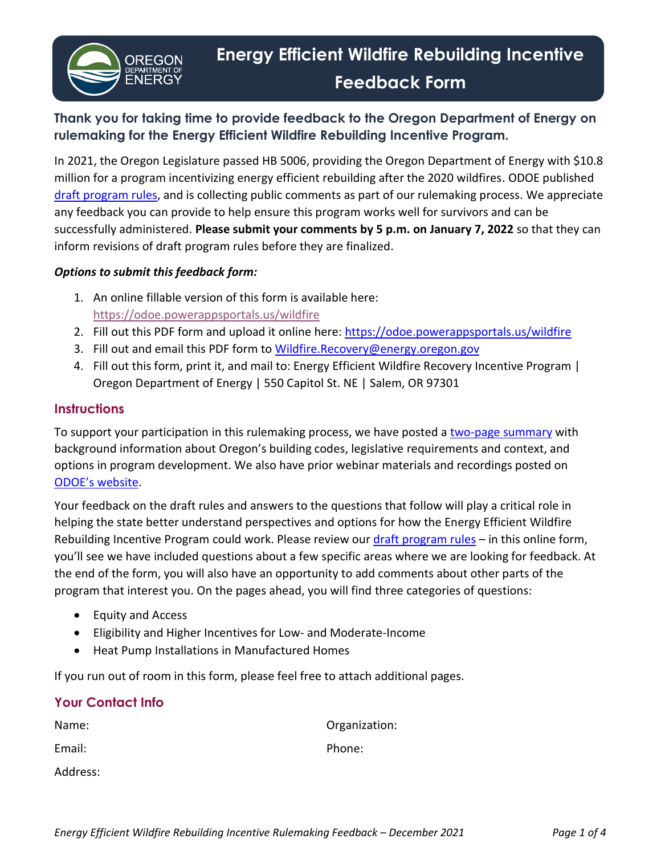

# **Thank you for taking time to provide feedback to the Oregon Department of Energy on rulemaking for the Energy Efficient Wildfire Rebuilding Incentive Program.**

In 2021, the Oregon Legislature passed HB 5006, providing the Oregon Department of Energy with \$10.8 million for a program incentivizing energy efficient rebuilding after the 2020 wildfires. ODOE published [draft program rules,](https://secure.sos.state.or.us/oard/viewRedlinePDF.action?filingRsn=49182) and is collecting public comments as part of our rulemaking process. We appreciate any feedback you can provide to help ensure this program works well for survivors and can be successfully administered. **Please submit your comments by 5 p.m. on January 7, 2022** so that they can inform revisions of draft program rules before they are finalized.

#### *Options to submit this feedback form:*

- 1. An online fillable version of this form is available here: <https://odoe.powerappsportals.us/wildfire>
- 2. Fill out this PDF form and upload it online here:<https://odoe.powerappsportals.us/wildfire>
- 3. Fill out and email this PDF form to [Wildfire.Recovery@energy.oregon.gov](mailto:Wildfire.Recovery@energy.oregon.gov)
- 4. Fill out this form, print it, and mail to: Energy Efficient Wildfire Recovery Incentive Program | Oregon Department of Energy | 550 Capitol St. NE | Salem, OR 97301

#### **Instructions**

To support your participation in this rulemaking process, we have posted a [two-page](https://www.oregon.gov/energy/Incentives/Documents/Wildfire-Rebuilding-Program-One-Pager-2021.pdf) summary with background information about Oregon's building codes, legislative requirements and context, and options in program development. We also have prior webinar materials and recordings posted on ODOE's [website.](https://www.oregon.gov/energy/Incentives/Pages/EEWR.aspx)

Your feedback on the draft rules and answers to the questions that follow will play a critical role in helping the state better understand perspectives and options for how the Energy Efficient Wildfire Rebuilding Incentive Program could work. Please review our [draft program rules](https://secure.sos.state.or.us/oard/viewRedlinePDF.action?filingRsn=49182) - in this online form, you'll see we have included questions about a few specific areas where we are looking for feedback. At the end of the form, you will also have an opportunity to add comments about other parts of the program that interest you. On the pages ahead, you will find three categories of questions:

- Equity and Access
- Eligibility and Higher Incentives for Low- and Moderate-Income
- Heat Pump Installations in Manufactured Homes

If you run out of room in this form, please feel free to attach additional pages.

| <b>Your Contact Info</b> |               |
|--------------------------|---------------|
| Name:                    | Organization: |
| Email:                   | Phone:        |
| Address:                 |               |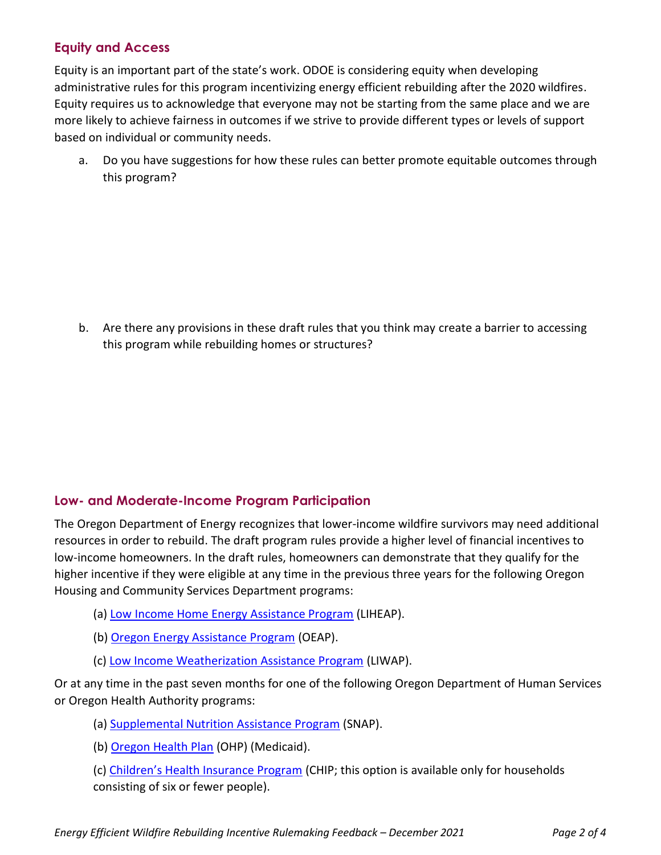# **Equity and Access**

Equity is an important part of the state's work. ODOE is considering equity when developing administrative rules for this program incentivizing energy efficient rebuilding after the 2020 wildfires. Equity requires us to acknowledge that everyone may not be starting from the same place and we are more likely to achieve fairness in outcomes if we strive to provide different types or levels of support based on individual or community needs.

a. Do you have suggestions for how these rules can better promote equitable outcomes through this program?

b. Are there any provisions in these draft rules that you think may create a barrier to accessing this program while rebuilding homes or structures?

### **Low- and Moderate-Income Program Participation**

The Oregon Department of Energy recognizes that lower-income wildfire survivors may need additional resources in order to rebuild. The draft program rules provide a higher level of financial incentives to low-income homeowners. In the draft rules, homeowners can demonstrate that they qualify for the higher incentive if they were eligible at any time in the previous three years for the following Oregon Housing and Community Services Department programs:

- (a) [Low Income Home Energy Assistance Program](https://www.oregon.gov/ohcs/energy-weatherization/Pages/weatherization-services.aspx) (LIHEAP).
- (b) [Oregon Energy Assistance Program](https://www.oregon.gov/ohcs/energy-weatherization/Pages/utility-bill-payment-assistance.aspx) (OEAP).
- (c) [Low Income Weatherization Assistance Program](https://www.oregon.gov/ohcs/energy-weatherization/Pages/weatherization-services.aspx) (LIWAP).

Or at any time in the past seven months for one of the following Oregon Department of Human Services or Oregon Health Authority programs:

- (a) [Supplemental Nutrition Assistance Program](https://www.oregon.gov/dhs/assistance/food-benefits/pages/index.aspx) (SNAP).
- (b) [Oregon Health Plan](https://www.oregon.gov/oha/hsd/ohp/pages/index.aspx) (OHP) (Medicaid).
- (c) [Children's Health Insurance Program](https://www.oregon.gov/oha/HSD/OHP/Pages/OHPcoversme.aspx) (CHIP; this option is available only for households consisting of six or fewer people).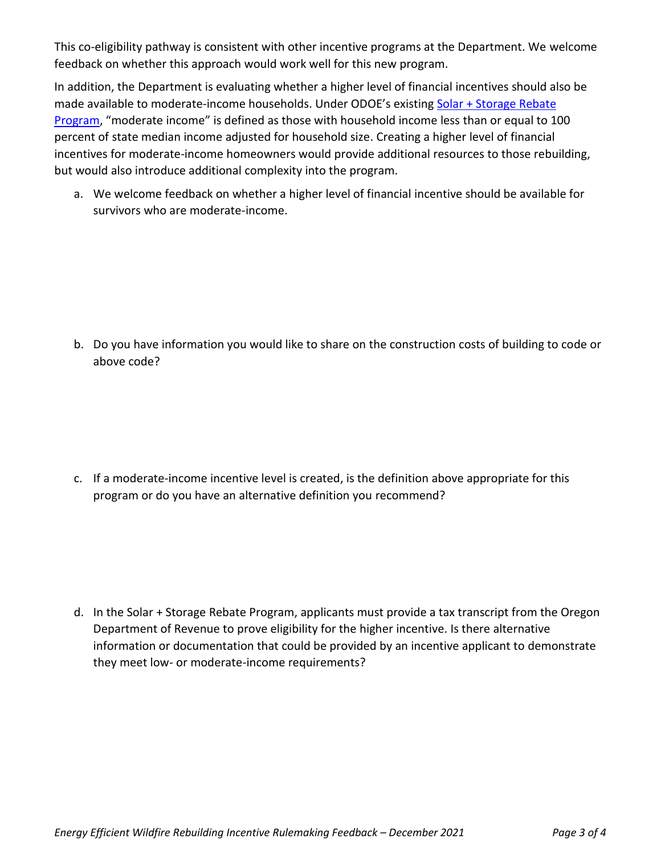This co-eligibility pathway is consistent with other incentive programs at the Department. We welcome feedback on whether this approach would work well for this new program.

In addition, the Department is evaluating whether a higher level of financial incentives should also be made available to moderate-income households. Under ODOE's existing Solar + Storage Rebate [Program,](https://www.oregon.gov/energy/Incentives/Pages/Solar-Storage-Rebate-Program.aspx) "moderate income" is defined as those with household income less than or equal to 100 percent of state median income adjusted for household size. Creating a higher level of financial incentives for moderate-income homeowners would provide additional resources to those rebuilding, but would also introduce additional complexity into the program.

a. We welcome feedback on whether a higher level of financial incentive should be available for survivors who are moderate-income.

b. Do you have information you would like to share on the construction costs of building to code or above code?

c. If a moderate-income incentive level is created, is the definition above appropriate for this program or do you have an alternative definition you recommend?

d. In the Solar + Storage Rebate Program, applicants must provide a tax transcript from the Oregon Department of Revenue to prove eligibility for the higher incentive. Is there alternative information or documentation that could be provided by an incentive applicant to demonstrate they meet low- or moderate-income requirements?